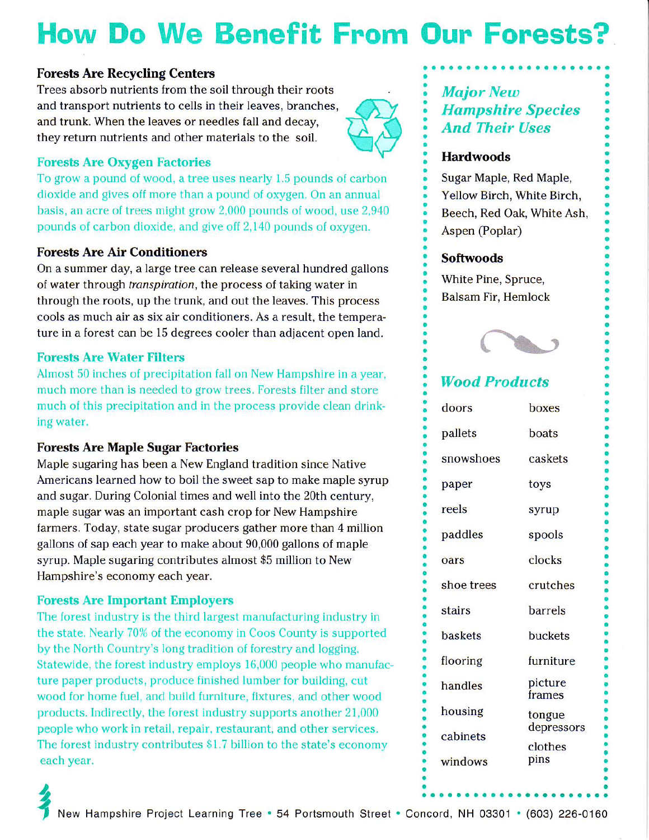# How Do We Benefit From Oun Fonests?

#### Forests Are Recycling Centers

Trees absorb nutrients from the soil through their roots and transport nutrients to cells in their leaves, branches, and trunk. When the leaves or needles fall and decay, they return nutrients and other materials to the soil.



#### Forests Are Oxygen Factories

To grow a pound of wood. a tree uses nearly 1.5 pounds of carbon dioxide and gives off more than a pound of oxygen. On an annual basis, an acre of trees might grow 2,000 pounds of wood, use 2,940 pounds of carbon dioxide, and give off 2,140 pounds of oxygen.

#### **Forests Are Air Conditioners**

On a summer day, a large tree can release several hundred gallons of water through *transpiration*, the process of taking water in through the roots, up the trunk, and out the leaves. This process cools as much air as six air conditioners. As a result, the temperature in a forest can be l5 degrees cooler than adjacent open land.

#### Forests Are Water Filters

Almost 50 inches of precipitation fall on New Hampshire in a year, much more than is needed to grow trees. Forests filter and store much of this precipitation and in the process provide clean drinking water.

#### Forests Are Maple Sugar Factories

Maple sugaring has been a New England tradition since Native Americans learned how to boil the sweet sap to make maple syrup and sugar. During Colonial times and well into the 20th century, maple sugar was an important cash crop for New Hampshire farmers. Today, state sugar producers gather more than 4 million gallons of sap each year to make about 90,000 gallons of maple syrup. Maple sugaring contributes almost \$5 million to New Hampshire's economy each year.

#### Forests Are Important Employers

The forest industry is the third largest manufacturing industry in the state. Nearly 70% of the economy in Coos County is supported by the North Country's long tradition of forestry and logging. Statewide, the forest industry employs 16,000 people who manufacture paper products, produce finished lumber for building, cut wood for home fuel, and build furniture, fixtures, and other wood products. Indirectly, the lorest industry supports another 21,000 people who work in retail, repair, restaurant, and other services. The forest industry contributes \$1.7 billion to the state's economy each year.

### **Major New Hampshire Species** . And Their Uses

#### **Hardwoods**

. Sugar Maple, Red Maple, Yellow Birch, White Birch, Beech, Red Oak, White Ash, Aspen (Poplar)

#### Softwoods

White Pine, Spruce, Balsam Fir, Hemlock



### Wood Products

| doors          | boxes                |
|----------------|----------------------|
| pallets        | boats                |
| snowshoes      | caskets              |
| paper          | toys                 |
| reels          | syrup                |
| paddles        | spools               |
| oars           | clocks               |
| shoe trees     | crutches             |
| stairs         | barrels              |
| <b>baskets</b> | buckets              |
| flooring       | furniture            |
| handles        | picture<br>frames    |
| housing        | tongue<br>depressors |
| cabinets       | clothes              |
| windows        | pins                 |